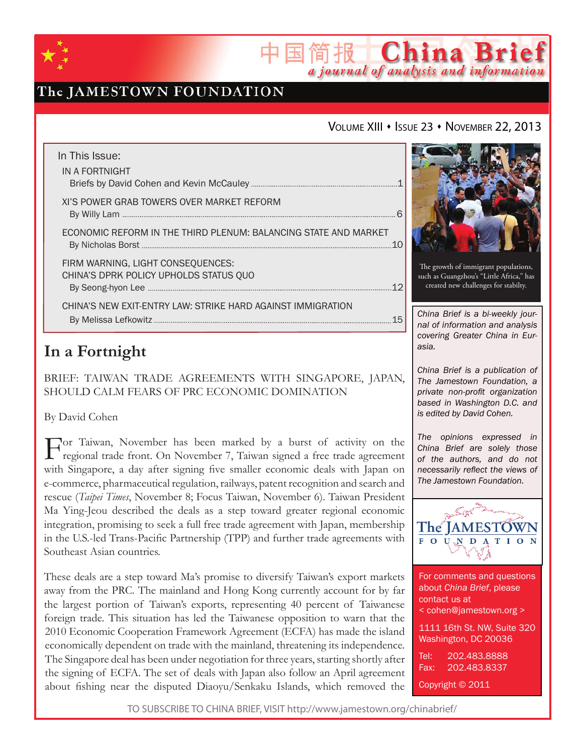

## The JAMESTOWN FOUNDATION

### VOLUME XIII · ISSUE 23 · NOVEMBER 22, 2013

简报 China Brief

a journal of analysis and information

| In This Issue:<br>IN A FORTNIGHT                                            |
|-----------------------------------------------------------------------------|
| XI'S POWER GRAB TOWERS OVER MARKET REFORM                                   |
| ECONOMIC REFORM IN THE THIRD PLENUM: BALANCING STATE AND MARKET             |
| FIRM WARNING, LIGHT CONSEQUENCES:<br>CHINA'S DPRK POLICY UPHOLDS STATUS QUO |
| CHINA'S NEW EXIT-ENTRY LAW: STRIKE HARD AGAINST IMMIGRATION                 |

## **In a Fortnight**

BRIEF: Taiwan Trade Agreements with Singapore, Japan, Should Calm Fears of PRC Economic Domination

### By David Cohen

For Taiwan, November has been marked by a burst of activity on the regional trade front. On November 7, Taiwan signed a free trade agreement with Singapore, a day after signing five smaller economic deals with Japan on e-commerce, pharmaceutical regulation, railways, patent recognition and search and rescue (*Taipei Times*, November 8; Focus Taiwan, November 6). Taiwan President Ma Ying-Jeou described the deals as a step toward greater regional economic integration, promising to seek a full free trade agreement with Japan, membership in the U.S.-led Trans-Pacific Partnership (TPP) and further trade agreements with Southeast Asian countries.

These deals are a step toward Ma's promise to diversify Taiwan's export markets away from the PRC. The mainland and Hong Kong currently account for by far the largest portion of Taiwan's exports, representing 40 percent of Taiwanese foreign trade. This situation has led the Taiwanese opposition to warn that the 2010 Economic Cooperation Framework Agreement (ECFA) has made the island economically dependent on trade with the mainland, threatening its independence. The Singapore deal has been under negotiation for three years, starting shortly after the signing of ECFA. The set of deals with Japan also follow an April agreement about fishing near the disputed Diaoyu/Senkaku Islands, which removed the



The growth of immigrant populations, such as Guangzhou's "Little Africa," has created new challenges for stabilty.

*China Brief is a bi-weekly journal of information and analysis covering Greater China in Eurasia.* 

*China Brief is a publication of The Jamestown Foundation, a private non-profit organization based in Washington D.C. and is edited by David Cohen.*

*The opinions expressed in China Brief are solely those of the authors, and do not necessarily reflect the views of The Jamestown Foundation.*



For comments and questions about *China Brief*, please contact us at < cohen@jamestown.org > 1111 16th St. NW, Suite 320 Washington, DC 20036 Tel: 202.483.8888 Fax: 202.483.8337 Copyright © 2011

TO SUBSCRIBE TO CHINA BRIEF, VISIT http://www.jamestown.org/chinabrief/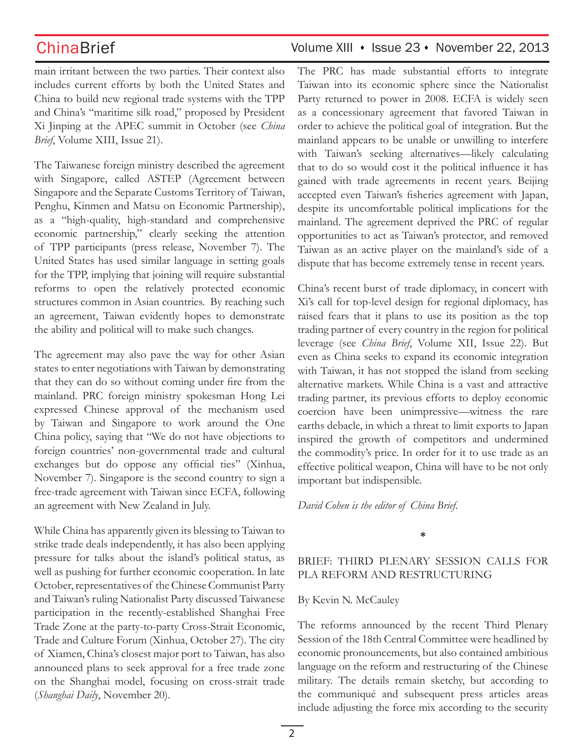main irritant between the two parties. Their context also includes current efforts by both the United States and China to build new regional trade systems with the TPP and China's "maritime silk road," proposed by President Xi Jinping at the APEC summit in October (see *China Brief*, Volume XIII, Issue 21).

The Taiwanese foreign ministry described the agreement with Singapore, called ASTEP (Agreement between Singapore and the Separate Customs Territory of Taiwan, Penghu, Kinmen and Matsu on Economic Partnership), as a "high-quality, high-standard and comprehensive economic partnership," clearly seeking the attention of TPP participants (press release, November 7). The United States has used similar language in setting goals for the TPP, implying that joining will require substantial reforms to open the relatively protected economic structures common in Asian countries. By reaching such an agreement, Taiwan evidently hopes to demonstrate the ability and political will to make such changes.

The agreement may also pave the way for other Asian states to enter negotiations with Taiwan by demonstrating that they can do so without coming under fire from the mainland. PRC foreign ministry spokesman Hong Lei expressed Chinese approval of the mechanism used by Taiwan and Singapore to work around the One China policy, saying that "We do not have objections to foreign countries' non-governmental trade and cultural exchanges but do oppose any official ties" (Xinhua, November 7). Singapore is the second country to sign a free-trade agreement with Taiwan since ECFA, following an agreement with New Zealand in July.

While China has apparently given its blessing to Taiwan to strike trade deals independently, it has also been applying pressure for talks about the island's political status, as well as pushing for further economic cooperation. In late October, representatives of the Chinese Communist Party and Taiwan's ruling Nationalist Party discussed Taiwanese participation in the recently-established Shanghai Free Trade Zone at the party-to-party Cross-Strait Economic, Trade and Culture Forum (Xinhua, October 27). The city of Xiamen, China's closest major port to Taiwan, has also announced plans to seek approval for a free trade zone on the Shanghai model, focusing on cross-strait trade (*Shanghai Daily*, November 20).

The PRC has made substantial efforts to integrate Taiwan into its economic sphere since the Nationalist Party returned to power in 2008. ECFA is widely seen as a concessionary agreement that favored Taiwan in order to achieve the political goal of integration. But the mainland appears to be unable or unwilling to interfere with Taiwan's seeking alternatives—likely calculating that to do so would cost it the political influence it has gained with trade agreements in recent years. Beijing accepted even Taiwan's fisheries agreement with Japan, despite its uncomfortable political implications for the mainland. The agreement deprived the PRC of regular opportunities to act as Taiwan's protector, and removed Taiwan as an active player on the mainland's side of a dispute that has become extremely tense in recent years.

China's recent burst of trade diplomacy, in concert with Xi's call for top-level design for regional diplomacy, has raised fears that it plans to use its position as the top trading partner of every country in the region for political leverage (see *China Brief*, Volume XII, Issue 22). But even as China seeks to expand its economic integration with Taiwan, it has not stopped the island from seeking alternative markets. While China is a vast and attractive trading partner, its previous efforts to deploy economic coercion have been unimpressive—witness the rare earths debacle, in which a threat to limit exports to Japan inspired the growth of competitors and undermined the commodity's price. In order for it to use trade as an effective political weapon, China will have to be not only important but indispensible.

*David Cohen is the editor of China Brief*.

**\***

## BRIEF: Third Plenary Session Calls for PLA Reform and Restructuring

### By Kevin N. McCauley

The reforms announced by the recent Third Plenary Session of the 18th Central Committee were headlined by economic pronouncements, but also contained ambitious language on the reform and restructuring of the Chinese military. The details remain sketchy, but according to the communiqué and subsequent press articles areas include adjusting the force mix according to the security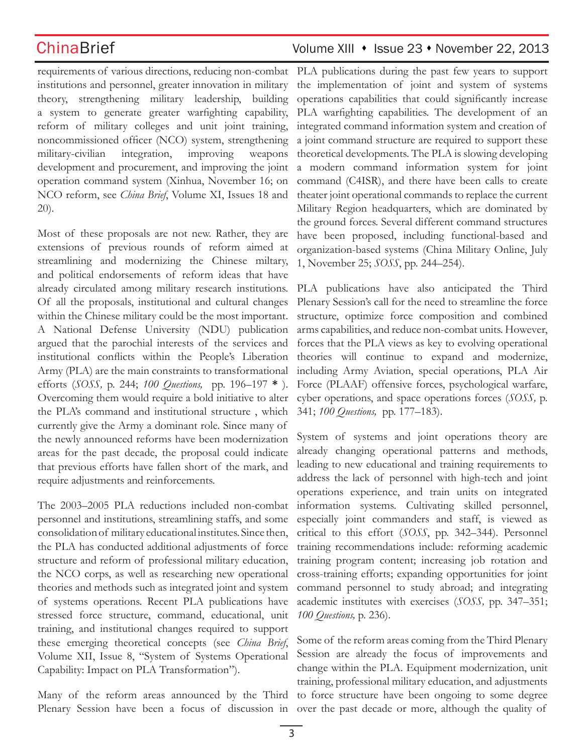requirements of various directions, reducing non-combat institutions and personnel, greater innovation in military theory, strengthening military leadership, building a system to generate greater warfighting capability, reform of military colleges and unit joint training, noncommissioned officer (NCO) system, strengthening military-civilian integration, improving weapons development and procurement, and improving the joint operation command system (Xinhua, November 16; on NCO reform, see *China Brief*, Volume XI, Issues 18 and 20).

Most of these proposals are not new. Rather, they are extensions of previous rounds of reform aimed at streamlining and modernizing the Chinese miltary, and political endorsements of reform ideas that have already circulated among military research institutions. Of all the proposals, institutional and cultural changes within the Chinese military could be the most important. A National Defense University (NDU) publication argued that the parochial interests of the services and institutional conflicts within the People's Liberation Army (PLA) are the main constraints to transformational efforts (*SOSS,* p. 244; *100 Questions,* pp. 196–197 **\*** ). Overcoming them would require a bold initiative to alter the PLA's command and institutional structure , which currently give the Army a dominant role. Since many of the newly announced reforms have been modernization areas for the past decade, the proposal could indicate that previous efforts have fallen short of the mark, and require adjustments and reinforcements.

The 2003–2005 PLA reductions included non-combat personnel and institutions, streamlining staffs, and some consolidation of military educational institutes. Since then, the PLA has conducted additional adjustments of force structure and reform of professional military education, the NCO corps, as well as researching new operational theories and methods such as integrated joint and system of systems operations. Recent PLA publications have stressed force structure, command, educational, unit training, and institutional changes required to support these emerging theoretical concepts (see *China Brief*, Volume XII, Issue 8, "System of Systems Operational Capability: Impact on PLA Transformation").

Plenary Session have been a focus of discussion in over the past decade or more, although the quality of

PLA publications during the past few years to support the implementation of joint and system of systems operations capabilities that could significantly increase PLA warfighting capabilities. The development of an integrated command information system and creation of a joint command structure are required to support these theoretical developments. The PLA is slowing developing a modern command information system for joint command (C4ISR), and there have been calls to create theater joint operational commands to replace the current Military Region headquarters, which are dominated by the ground forces. Several different command structures have been proposed, including functional-based and organization-based systems (China Military Online, July 1, November 25; *SOSS*, pp. 244–254).

PLA publications have also anticipated the Third Plenary Session's call for the need to streamline the force structure, optimize force composition and combined arms capabilities, and reduce non-combat units. However, forces that the PLA views as key to evolving operational theories will continue to expand and modernize, including Army Aviation, special operations, PLA Air Force (PLAAF) offensive forces, psychological warfare, cyber operations, and space operations forces (*SOSS,* p. 341; *100 Questions,* pp. 177–183).

System of systems and joint operations theory are already changing operational patterns and methods, leading to new educational and training requirements to address the lack of personnel with high-tech and joint operations experience, and train units on integrated information systems. Cultivating skilled personnel, especially joint commanders and staff, is viewed as critical to this effort (*SOSS*, pp. 342–344). Personnel training recommendations include: reforming academic training program content; increasing job rotation and cross-training efforts; expanding opportunities for joint command personnel to study abroad; and integrating academic institutes with exercises (*SOSS,* pp. 347–351; *100 Questions,* p. 236).

Many of the reform areas announced by the Third to force structure have been ongoing to some degree Some of the reform areas coming from the Third Plenary Session are already the focus of improvements and change within the PLA. Equipment modernization, unit training, professional military education, and adjustments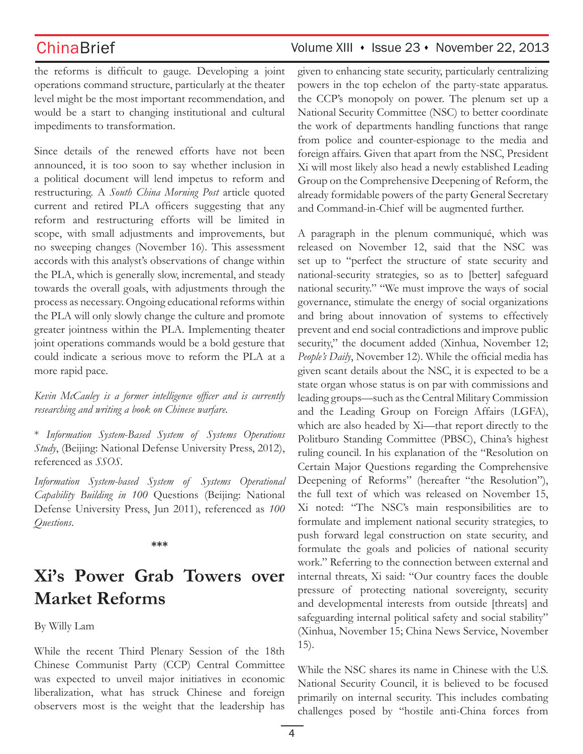the reforms is difficult to gauge. Developing a joint operations command structure, particularly at the theater level might be the most important recommendation, and would be a start to changing institutional and cultural impediments to transformation.

Since details of the renewed efforts have not been announced, it is too soon to say whether inclusion in a political document will lend impetus to reform and restructuring. A *South China Morning Post* article quoted current and retired PLA officers suggesting that any reform and restructuring efforts will be limited in scope, with small adjustments and improvements, but no sweeping changes (November 16). This assessment accords with this analyst's observations of change within the PLA, which is generally slow, incremental, and steady towards the overall goals, with adjustments through the process as necessary. Ongoing educational reforms within the PLA will only slowly change the culture and promote greater jointness within the PLA. Implementing theater joint operations commands would be a bold gesture that could indicate a serious move to reform the PLA at a more rapid pace.

*Kevin McCauley is a former intelligence officer and is currently researching and writing a book on Chinese warfare.*

\* *Information System-Based System of Systems Operations Study*, (Beijing: National Defense University Press, 2012), referenced as *SSOS*.

*Information System-based System of Systems Operational Capability Building in 100* Questions (Beijing: National Defense University Press, Jun 2011), referenced as *100 Questions*.

### **\*\*\***

# **Xi's Power Grab Towers over Market Reforms**

By Willy Lam

While the recent Third Plenary Session of the 18th Chinese Communist Party (CCP) Central Committee was expected to unveil major initiatives in economic liberalization, what has struck Chinese and foreign observers most is the weight that the leadership has given to enhancing state security, particularly centralizing powers in the top echelon of the party-state apparatus. the CCP's monopoly on power. The plenum set up a National Security Committee (NSC) to better coordinate the work of departments handling functions that range from police and counter-espionage to the media and foreign affairs. Given that apart from the NSC, President Xi will most likely also head a newly established Leading Group on the Comprehensive Deepening of Reform, the already formidable powers of the party General Secretary and Command-in-Chief will be augmented further.

A paragraph in the plenum communiqué, which was released on November 12, said that the NSC was set up to "perfect the structure of state security and national-security strategies, so as to [better] safeguard national security." "We must improve the ways of social governance, stimulate the energy of social organizations and bring about innovation of systems to effectively prevent and end social contradictions and improve public security," the document added (Xinhua, November 12; *People's Daily*, November 12). While the official media has given scant details about the NSC, it is expected to be a state organ whose status is on par with commissions and leading groups—such as the Central Military Commission and the Leading Group on Foreign Affairs (LGFA), which are also headed by Xi—that report directly to the Politburo Standing Committee (PBSC), China's highest ruling council. In his explanation of the "Resolution on Certain Major Questions regarding the Comprehensive Deepening of Reforms" (hereafter "the Resolution"), the full text of which was released on November 15, Xi noted: "The NSC's main responsibilities are to formulate and implement national security strategies, to push forward legal construction on state security, and formulate the goals and policies of national security work." Referring to the connection between external and internal threats, Xi said: "Our country faces the double pressure of protecting national sovereignty, security and developmental interests from outside [threats] and safeguarding internal political safety and social stability" (Xinhua, November 15; China News Service, November 15).

While the NSC shares its name in Chinese with the U.S. National Security Council, it is believed to be focused primarily on internal security. This includes combating challenges posed by "hostile anti-China forces from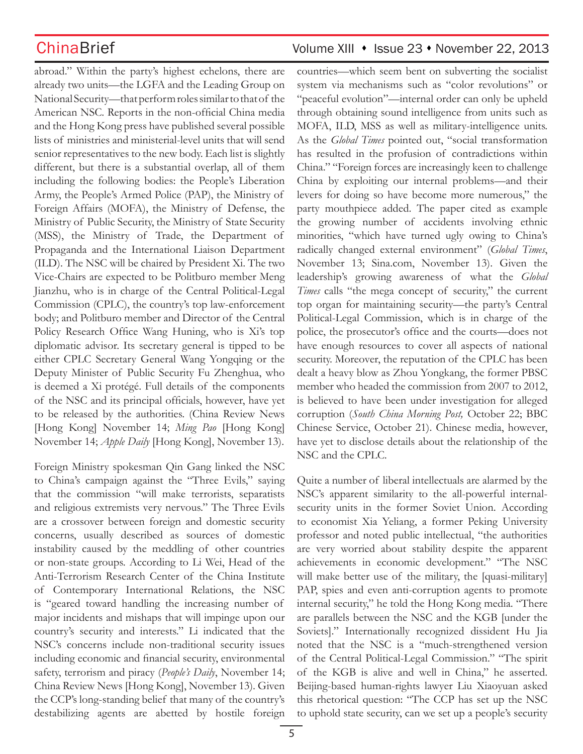abroad." Within the party's highest echelons, there are already two units—the LGFA and the Leading Group on National Security—that perform roles similar to that of the American NSC. Reports in the non-official China media and the Hong Kong press have published several possible lists of ministries and ministerial-level units that will send senior representatives to the new body. Each list is slightly different, but there is a substantial overlap, all of them including the following bodies: the People's Liberation Army, the People's Armed Police (PAP), the Ministry of Foreign Affairs (MOFA), the Ministry of Defense, the Ministry of Public Security, the Ministry of State Security (MSS), the Ministry of Trade, the Department of Propaganda and the International Liaison Department (ILD). The NSC will be chaired by President Xi. The two Vice-Chairs are expected to be Politburo member Meng Jianzhu, who is in charge of the Central Political-Legal Commission (CPLC), the country's top law-enforcement body; and Politburo member and Director of the Central Policy Research Office Wang Huning, who is Xi's top diplomatic advisor. Its secretary general is tipped to be either CPLC Secretary General Wang Yongqing or the Deputy Minister of Public Security Fu Zhenghua, who is deemed a Xi protégé. Full details of the components of the NSC and its principal officials, however, have yet to be released by the authorities. (China Review News [Hong Kong] November 14; *Ming Pao* [Hong Kong] November 14; *Apple Daily* [Hong Kong], November 13).

Foreign Ministry spokesman Qin Gang linked the NSC to China's campaign against the "Three Evils," saying that the commission "will make terrorists, separatists and religious extremists very nervous." The Three Evils are a crossover between foreign and domestic security concerns, usually described as sources of domestic instability caused by the meddling of other countries or non-state groups. According to Li Wei, Head of the Anti-Terrorism Research Center of the China Institute of Contemporary International Relations, the NSC is "geared toward handling the increasing number of major incidents and mishaps that will impinge upon our country's security and interests." Li indicated that the NSC's concerns include non-traditional security issues including economic and financial security, environmental safety, terrorism and piracy (*People's Daily*, November 14; China Review News [Hong Kong], November 13). Given the CCP's long-standing belief that many of the country's destabilizing agents are abetted by hostile foreign

## ChinaBrief Volume XIII • Issue 23 • November 22, 2013

countries—which seem bent on subverting the socialist system via mechanisms such as "color revolutions" or "peaceful evolution"—internal order can only be upheld through obtaining sound intelligence from units such as MOFA, ILD, MSS as well as military-intelligence units. As the *Global Times* pointed out, "social transformation has resulted in the profusion of contradictions within China." "Foreign forces are increasingly keen to challenge China by exploiting our internal problems—and their levers for doing so have become more numerous," the party mouthpiece added. The paper cited as example the growing number of accidents involving ethnic minorities, "which have turned ugly owing to China's radically changed external environment" (*Global Times*, November 13; Sina.com, November 13). Given the leadership's growing awareness of what the *Global Times* calls "the mega concept of security," the current top organ for maintaining security—the party's Central Political-Legal Commission, which is in charge of the police, the prosecutor's office and the courts—does not have enough resources to cover all aspects of national security. Moreover, the reputation of the CPLC has been dealt a heavy blow as Zhou Yongkang, the former PBSC member who headed the commission from 2007 to 2012, is believed to have been under investigation for alleged corruption (*South China Morning Post,* October 22; BBC Chinese Service, October 21). Chinese media, however, have yet to disclose details about the relationship of the NSC and the CPLC.

Quite a number of liberal intellectuals are alarmed by the NSC's apparent similarity to the all-powerful internalsecurity units in the former Soviet Union. According to economist Xia Yeliang, a former Peking University professor and noted public intellectual, "the authorities are very worried about stability despite the apparent achievements in economic development." "The NSC will make better use of the military, the [quasi-military] PAP, spies and even anti-corruption agents to promote internal security," he told the Hong Kong media. "There are parallels between the NSC and the KGB [under the Soviets]." Internationally recognized dissident Hu Jia noted that the NSC is a "much-strengthened version of the Central Political-Legal Commission." "The spirit of the KGB is alive and well in China," he asserted. Beijing-based human-rights lawyer Liu Xiaoyuan asked this rhetorical question: "The CCP has set up the NSC to uphold state security, can we set up a people's security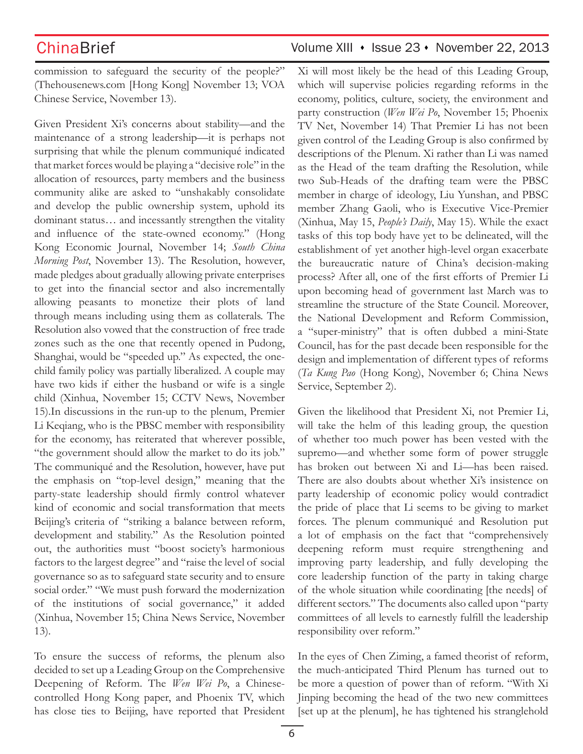commission to safeguard the security of the people?" (Thehousenews.com [Hong Kong] November 13; VOA Chinese Service, November 13).

Given President Xi's concerns about stability—and the maintenance of a strong leadership—it is perhaps not surprising that while the plenum communiqué indicated that market forces would be playing a "decisive role" in the allocation of resources, party members and the business community alike are asked to "unshakably consolidate and develop the public ownership system, uphold its dominant status… and incessantly strengthen the vitality and influence of the state-owned economy." (Hong Kong Economic Journal, November 14; *South China Morning Post*, November 13). The Resolution, however, made pledges about gradually allowing private enterprises to get into the financial sector and also incrementally allowing peasants to monetize their plots of land through means including using them as collaterals. The Resolution also vowed that the construction of free trade zones such as the one that recently opened in Pudong, Shanghai, would be "speeded up." As expected, the onechild family policy was partially liberalized. A couple may have two kids if either the husband or wife is a single child (Xinhua, November 15; CCTV News, November 15).In discussions in the run-up to the plenum, Premier Li Keqiang, who is the PBSC member with responsibility for the economy, has reiterated that wherever possible, "the government should allow the market to do its job." The communiqué and the Resolution, however, have put the emphasis on "top-level design," meaning that the party-state leadership should firmly control whatever kind of economic and social transformation that meets Beijing's criteria of "striking a balance between reform, development and stability." As the Resolution pointed out, the authorities must "boost society's harmonious factors to the largest degree" and "raise the level of social governance so as to safeguard state security and to ensure social order." "We must push forward the modernization of the institutions of social governance," it added (Xinhua, November 15; China News Service, November 13).

To ensure the success of reforms, the plenum also decided to set up a Leading Group on the Comprehensive Deepening of Reform. The *Wen Wei Po*, a Chinesecontrolled Hong Kong paper, and Phoenix TV, which has close ties to Beijing, have reported that President

## ChinaBrief Volume XIII • Issue 23 • November 22, 2013

Xi will most likely be the head of this Leading Group, which will supervise policies regarding reforms in the economy, politics, culture, society, the environment and party construction (*Wen Wei Po*, November 15; Phoenix TV Net, November 14) That Premier Li has not been given control of the Leading Group is also confirmed by descriptions of the Plenum. Xi rather than Li was named as the Head of the team drafting the Resolution, while two Sub-Heads of the drafting team were the PBSC member in charge of ideology, Liu Yunshan, and PBSC member Zhang Gaoli, who is Executive Vice-Premier (Xinhua, May 15, *People's Daily*, May 15). While the exact tasks of this top body have yet to be delineated, will the establishment of yet another high-level organ exacerbate the bureaucratic nature of China's decision-making process? After all, one of the first efforts of Premier Li upon becoming head of government last March was to streamline the structure of the State Council. Moreover, the National Development and Reform Commission, a "super-ministry" that is often dubbed a mini-State Council, has for the past decade been responsible for the design and implementation of different types of reforms (*Ta Kung Pao* (Hong Kong), November 6; China News Service, September 2).

Given the likelihood that President Xi, not Premier Li, will take the helm of this leading group, the question of whether too much power has been vested with the supremo—and whether some form of power struggle has broken out between Xi and Li—has been raised. There are also doubts about whether Xi's insistence on party leadership of economic policy would contradict the pride of place that Li seems to be giving to market forces. The plenum communiqué and Resolution put a lot of emphasis on the fact that "comprehensively deepening reform must require strengthening and improving party leadership, and fully developing the core leadership function of the party in taking charge of the whole situation while coordinating [the needs] of different sectors." The documents also called upon "party committees of all levels to earnestly fulfill the leadership responsibility over reform."

In the eyes of Chen Ziming, a famed theorist of reform, the much-anticipated Third Plenum has turned out to be more a question of power than of reform. "With Xi Jinping becoming the head of the two new committees [set up at the plenum], he has tightened his stranglehold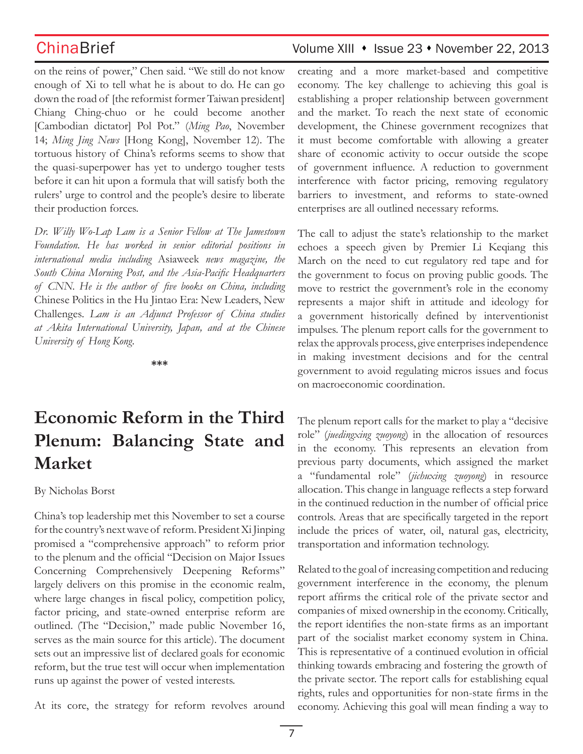on the reins of power," Chen said. "We still do not know enough of Xi to tell what he is about to do. He can go down the road of [the reformist former Taiwan president] Chiang Ching-chuo or he could become another [Cambodian dictator] Pol Pot." (*Ming Pao*, November 14; *Ming Jing News* [Hong Kong], November 12). The tortuous history of China's reforms seems to show that the quasi-superpower has yet to undergo tougher tests before it can hit upon a formula that will satisfy both the rulers' urge to control and the people's desire to liberate their production forces.

*Dr. Willy Wo-Lap Lam is a Senior Fellow at The Jamestown Foundation. He has worked in senior editorial positions in international media including* Asiaweek *news magazine, the South China Morning Post, and the Asia-Pacific Headquarters of CNN. He is the author of five books on China, including*  Chinese Politics in the Hu Jintao Era: New Leaders, New Challenges*. Lam is an Adjunct Professor of China studies at Akita International University, Japan, and at the Chinese University of Hong Kong.*

**\*\*\***

# **Economic Reform in the Third Plenum: Balancing State and Market**

By Nicholas Borst

China's top leadership met this November to set a course for the country's next wave of reform. President Xi Jinping promised a "comprehensive approach" to reform prior to the plenum and the official "Decision on Major Issues Concerning Comprehensively Deepening Reforms" largely delivers on this promise in the economic realm, where large changes in fiscal policy, competition policy, factor pricing, and state-owned enterprise reform are outlined. (The "Decision," made public November 16, serves as the main source for this article). The document sets out an impressive list of declared goals for economic reform, but the true test will occur when implementation runs up against the power of vested interests.

At its core, the strategy for reform revolves around

## ChinaBrief Volume XIII • Issue 23 • November 22, 2013

creating and a more market-based and competitive economy. The key challenge to achieving this goal is establishing a proper relationship between government and the market. To reach the next state of economic development, the Chinese government recognizes that it must become comfortable with allowing a greater share of economic activity to occur outside the scope of government influence. A reduction to government interference with factor pricing, removing regulatory barriers to investment, and reforms to state-owned enterprises are all outlined necessary reforms.

The call to adjust the state's relationship to the market echoes a speech given by Premier Li Keqiang this March on the need to cut regulatory red tape and for the government to focus on proving public goods. The move to restrict the government's role in the economy represents a major shift in attitude and ideology for a government historically defined by interventionist impulses. The plenum report calls for the government to relax the approvals process, give enterprises independence in making investment decisions and for the central government to avoid regulating micros issues and focus on macroeconomic coordination.

The plenum report calls for the market to play a "decisive role" (*juedingxing zuoyong*) in the allocation of resources in the economy. This represents an elevation from previous party documents, which assigned the market a "fundamental role" (*jichuxing zuoyong*) in resource allocation. This change in language reflects a step forward in the continued reduction in the number of official price controls. Areas that are specifically targeted in the report include the prices of water, oil, natural gas, electricity, transportation and information technology.

Related to the goal of increasing competition and reducing government interference in the economy, the plenum report affirms the critical role of the private sector and companies of mixed ownership in the economy. Critically, the report identifies the non-state firms as an important part of the socialist market economy system in China. This is representative of a continued evolution in official thinking towards embracing and fostering the growth of the private sector. The report calls for establishing equal rights, rules and opportunities for non-state firms in the economy. Achieving this goal will mean finding a way to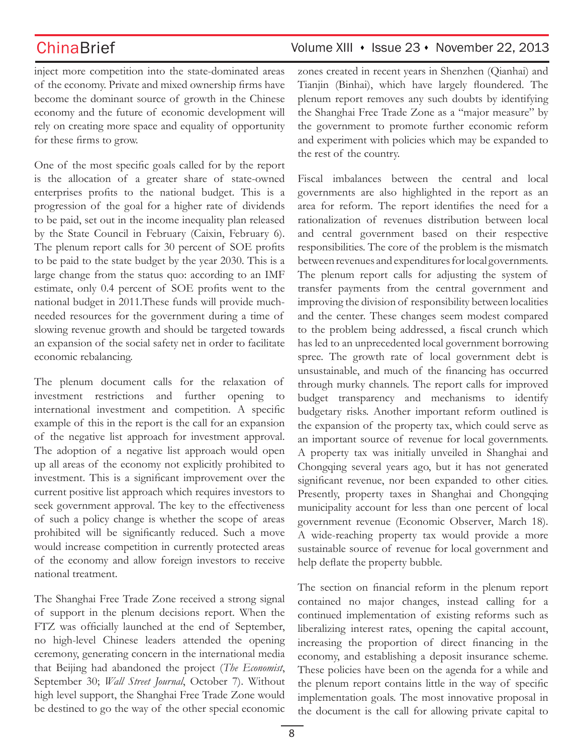inject more competition into the state-dominated areas of the economy. Private and mixed ownership firms have become the dominant source of growth in the Chinese economy and the future of economic development will rely on creating more space and equality of opportunity for these firms to grow.

One of the most specific goals called for by the report is the allocation of a greater share of state-owned enterprises profits to the national budget. This is a progression of the goal for a higher rate of dividends to be paid, set out in the income inequality plan released by the State Council in February (Caixin, February 6). The plenum report calls for 30 percent of SOE profits to be paid to the state budget by the year 2030. This is a large change from the status quo: according to an IMF estimate, only 0.4 percent of SOE profits went to the national budget in 2011.These funds will provide muchneeded resources for the government during a time of slowing revenue growth and should be targeted towards an expansion of the social safety net in order to facilitate economic rebalancing.

The plenum document calls for the relaxation of investment restrictions and further opening to international investment and competition. A specific example of this in the report is the call for an expansion of the negative list approach for investment approval. The adoption of a negative list approach would open up all areas of the economy not explicitly prohibited to investment. This is a significant improvement over the current positive list approach which requires investors to seek government approval. The key to the effectiveness of such a policy change is whether the scope of areas prohibited will be significantly reduced. Such a move would increase competition in currently protected areas of the economy and allow foreign investors to receive national treatment.

The Shanghai Free Trade Zone received a strong signal of support in the plenum decisions report. When the FTZ was officially launched at the end of September, no high-level Chinese leaders attended the opening ceremony, generating concern in the international media that Beijing had abandoned the project (*The Economist*, September 30; *Wall Street Journal*, October 7). Without high level support, the Shanghai Free Trade Zone would be destined to go the way of the other special economic zones created in recent years in Shenzhen (Qianhai) and Tianjin (Binhai), which have largely floundered. The plenum report removes any such doubts by identifying the Shanghai Free Trade Zone as a "major measure" by the government to promote further economic reform and experiment with policies which may be expanded to the rest of the country.

Fiscal imbalances between the central and local governments are also highlighted in the report as an area for reform. The report identifies the need for a rationalization of revenues distribution between local and central government based on their respective responsibilities. The core of the problem is the mismatch between revenues and expenditures for local governments. The plenum report calls for adjusting the system of transfer payments from the central government and improving the division of responsibility between localities and the center. These changes seem modest compared to the problem being addressed, a fiscal crunch which has led to an unprecedented local government borrowing spree. The growth rate of local government debt is unsustainable, and much of the financing has occurred through murky channels. The report calls for improved budget transparency and mechanisms to identify budgetary risks. Another important reform outlined is the expansion of the property tax, which could serve as an important source of revenue for local governments. A property tax was initially unveiled in Shanghai and Chongqing several years ago, but it has not generated significant revenue, nor been expanded to other cities. Presently, property taxes in Shanghai and Chongqing municipality account for less than one percent of local government revenue (Economic Observer, March 18). A wide-reaching property tax would provide a more sustainable source of revenue for local government and help deflate the property bubble.

The section on financial reform in the plenum report contained no major changes, instead calling for a continued implementation of existing reforms such as liberalizing interest rates, opening the capital account, increasing the proportion of direct financing in the economy, and establishing a deposit insurance scheme. These policies have been on the agenda for a while and the plenum report contains little in the way of specific implementation goals. The most innovative proposal in the document is the call for allowing private capital to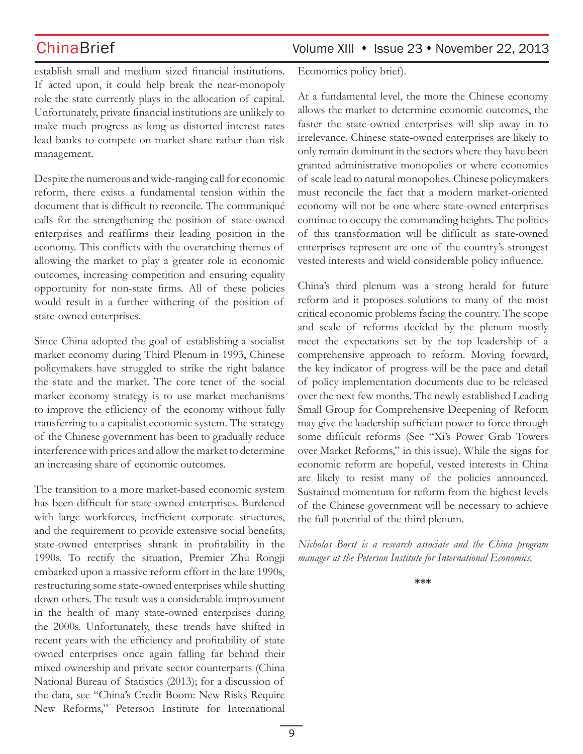establish small and medium sized financial institutions. If acted upon, it could help break the near-monopoly role the state currently plays in the allocation of capital. Unfortunately, private financial institutions are unlikely to make much progress as long as distorted interest rates lead banks to compete on market share rather than risk management.

Despite the numerous and wide-ranging call for economic reform, there exists a fundamental tension within the document that is difficult to reconcile. The communiqué calls for the strengthening the position of state-owned enterprises and reaffirms their leading position in the economy. This conflicts with the overarching themes of allowing the market to play a greater role in economic outcomes, increasing competition and ensuring equality opportunity for non-state firms. All of these policies would result in a further withering of the position of state-owned enterprises.

Since China adopted the goal of establishing a socialist market economy during Third Plenum in 1993, Chinese policymakers have struggled to strike the right balance the state and the market. The core tenet of the social market economy strategy is to use market mechanisms to improve the efficiency of the economy without fully transferring to a capitalist economic system. The strategy of the Chinese government has been to gradually reduce interference with prices and allow the market to determine an increasing share of economic outcomes.

The transition to a more market-based economic system has been difficult for state-owned enterprises. Burdened with large workforces, inefficient corporate structures, and the requirement to provide extensive social benefits, state-owned enterprises shrank in profitability in the 1990s. To rectify the situation, Premier Zhu Rongji embarked upon a massive reform effort in the late 1990s, restructuring some state-owned enterprises while shutting down others. The result was a considerable improvement in the health of many state-owned enterprises during the 2000s. Unfortunately, these trends have shifted in recent years with the efficiency and profitability of state owned enterprises once again falling far behind their mixed ownership and private sector counterparts (China National Bureau of Statistics (2013); for a discussion of the data, see "China's Credit Boom: New Risks Require New Reforms," Peterson Institute for International

Economics policy brief).

At a fundamental level, the more the Chinese economy allows the market to determine economic outcomes, the faster the state-owned enterprises will slip away in to irrelevance. Chinese state-owned enterprises are likely to only remain dominant in the sectors where they have been granted administrative monopolies or where economies of scale lead to natural monopolies. Chinese policymakers must reconcile the fact that a modern market-oriented economy will not be one where state-owned enterprises continue to occupy the commanding heights. The politics of this transformation will be difficult as state-owned enterprises represent are one of the country's strongest vested interests and wield considerable policy influence.

China's third plenum was a strong herald for future reform and it proposes solutions to many of the most critical economic problems facing the country. The scope and scale of reforms decided by the plenum mostly meet the expectations set by the top leadership of a comprehensive approach to reform. Moving forward, the key indicator of progress will be the pace and detail of policy implementation documents due to be released over the next few months. The newly established Leading Small Group for Comprehensive Deepening of Reform may give the leadership sufficient power to force through some difficult reforms (See "Xi's Power Grab Towers over Market Reforms," in this issue). While the signs for economic reform are hopeful, vested interests in China are likely to resist many of the policies announced. Sustained momentum for reform from the highest levels of the Chinese government will be necessary to achieve the full potential of the third plenum.

*Nicholas Borst is a research associate and the China program manager at the Peterson Institute for International Economics.* 

**\*\*\***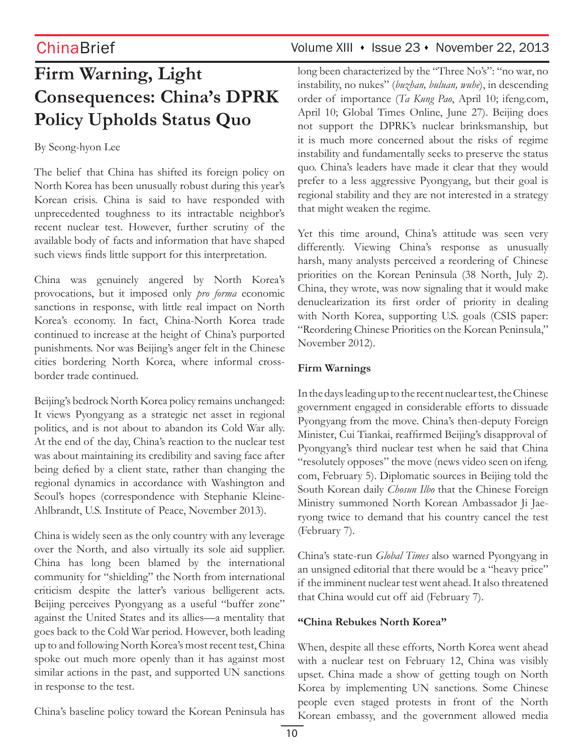# **Firm Warning, Light Consequences: China's DPRK Policy Upholds Status Quo**

## By Seong-hyon Lee

The belief that China has shifted its foreign policy on North Korea has been unusually robust during this year's Korean crisis. China is said to have responded with unprecedented toughness to its intractable neighbor's recent nuclear test. However, further scrutiny of the available body of facts and information that have shaped such views finds little support for this interpretation.

China was genuinely angered by North Korea's provocations, but it imposed only *pro forma* economic sanctions in response, with little real impact on North Korea's economy. In fact, China-North Korea trade continued to increase at the height of China's purported punishments. Nor was Beijing's anger felt in the Chinese cities bordering North Korea, where informal crossborder trade continued.

Beijing's bedrock North Korea policy remains unchanged: It views Pyongyang as a strategic net asset in regional politics, and is not about to abandon its Cold War ally. At the end of the day, China's reaction to the nuclear test was about maintaining its credibility and saving face after being defied by a client state, rather than changing the regional dynamics in accordance with Washington and Seoul's hopes (correspondence with Stephanie Kleine-Ahlbrandt, U.S. Institute of Peace, November 2013).

China is widely seen as the only country with any leverage over the North, and also virtually its sole aid supplier. China has long been blamed by the international community for "shielding" the North from international criticism despite the latter's various belligerent acts. Beijing perceives Pyongyang as a useful "buffer zone" against the United States and its allies—a mentality that goes back to the Cold War period. However, both leading up to and following North Korea's most recent test, China spoke out much more openly than it has against most similar actions in the past, and supported UN sanctions in response to the test.

China's baseline policy toward the Korean Peninsula has

## ChinaBrief Volume XIII • Issue 23 • November 22, 2013

long been characterized by the "Three No's": "no war, no instability, no nukes" (*buzhan, buluan, wuhe*), in descending order of importance (*Ta Kung Pao*, April 10; ifeng.com, April 10; Global Times Online, June 27). Beijing does not support the DPRK's nuclear brinksmanship, but it is much more concerned about the risks of regime instability and fundamentally seeks to preserve the status quo. China's leaders have made it clear that they would prefer to a less aggressive Pyongyang, but their goal is regional stability and they are not interested in a strategy that might weaken the regime.

Yet this time around, China's attitude was seen very differently. Viewing China's response as unusually harsh, many analysts perceived a reordering of Chinese priorities on the Korean Peninsula (38 North, July 2). China, they wrote, was now signaling that it would make denuclearization its first order of priority in dealing with North Korea, supporting U.S. goals (CSIS paper: "Reordering Chinese Priorities on the Korean Peninsula," November 2012).

## **Firm Warnings**

In the days leading up to the recent nuclear test, the Chinese government engaged in considerable efforts to dissuade Pyongyang from the move. China's then-deputy Foreign Minister, Cui Tiankai, reaffirmed Beijing's disapproval of Pyongyang's third nuclear test when he said that China "resolutely opposes" the move (news video seen on ifeng. com, February 5). Diplomatic sources in Beijing told the South Korean daily *Chosun Ilbo* that the Chinese Foreign Ministry summoned North Korean Ambassador Ji Jaeryong twice to demand that his country cancel the test (February 7).

China's state-run *Global Times* also warned Pyongyang in an unsigned editorial that there would be a "heavy price" if the imminent nuclear test went ahead. It also threatened that China would cut off aid (February 7).

### **"China Rebukes North Korea"**

When, despite all these efforts, North Korea went ahead with a nuclear test on February 12, China was visibly upset. China made a show of getting tough on North Korea by implementing UN sanctions. Some Chinese people even staged protests in front of the North Korean embassy, and the government allowed media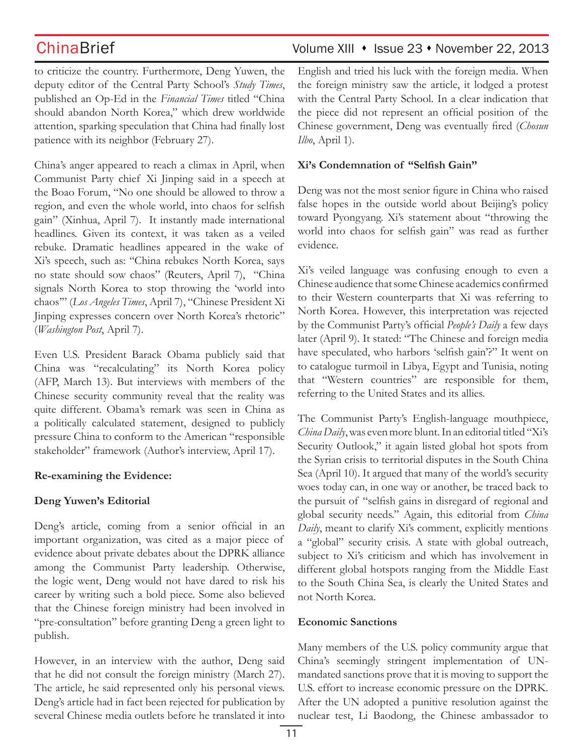to criticize the country. Furthermore, Deng Yuwen, the deputy editor of the Central Party School's *Study Times*, published an Op-Ed in the *Financial Times* titled "China should abandon North Korea," which drew worldwide attention, sparking speculation that China had finally lost patience with its neighbor (February 27).

China's anger appeared to reach a climax in April, when Communist Party chief Xi Jinping said in a speech at the Boao Forum, "No one should be allowed to throw a region, and even the whole world, into chaos for selfish gain" (Xinhua, April 7). It instantly made international headlines. Given its context, it was taken as a veiled rebuke. Dramatic headlines appeared in the wake of Xi's speech, such as: "China rebukes North Korea, says no state should sow chaos" (Reuters, April 7), "China signals North Korea to stop throwing the 'world into chaos'" (*Los Angeles Times*, April 7), "Chinese President Xi Jinping expresses concern over North Korea's rhetoric" (*Washington Post*, April 7).

Even U.S. President Barack Obama publicly said that China was "recalculating" its North Korea policy (AFP, March 13). But interviews with members of the Chinese security community reveal that the reality was quite different. Obama's remark was seen in China as a politically calculated statement, designed to publicly pressure China to conform to the American "responsible stakeholder" framework (Author's interview, April 17).

### **Re-examining the Evidence:**

### **Deng Yuwen's Editorial**

Deng's article, coming from a senior official in an important organization, was cited as a major piece of evidence about private debates about the DPRK alliance among the Communist Party leadership. Otherwise, the logic went, Deng would not have dared to risk his career by writing such a bold piece. Some also believed that the Chinese foreign ministry had been involved in "pre-consultation" before granting Deng a green light to publish.

However, in an interview with the author, Deng said that he did not consult the foreign ministry (March 27). The article, he said represented only his personal views. Deng's article had in fact been rejected for publication by several Chinese media outlets before he translated it into

## ChinaBrief Volume XIII • Issue 23 • November 22, 2013

English and tried his luck with the foreign media. When the foreign ministry saw the article, it lodged a protest with the Central Party School. In a clear indication that the piece did not represent an official position of the Chinese government, Deng was eventually fired (*Chosun Ilbo*, April 1).

### **Xi's Condemnation of "Selfish Gain"**

Deng was not the most senior figure in China who raised false hopes in the outside world about Beijing's policy toward Pyongyang. Xi's statement about "throwing the world into chaos for selfish gain" was read as further evidence.

Xi's veiled language was confusing enough to even a Chinese audience that some Chinese academics confirmed to their Western counterparts that Xi was referring to North Korea. However, this interpretation was rejected by the Communist Party's official *People's Daily* a few days later (April 9). It stated: "The Chinese and foreign media have speculated, who harbors 'selfish gain'?" It went on to catalogue turmoil in Libya, Egypt and Tunisia, noting that "Western countries" are responsible for them, referring to the United States and its allies.

The Communist Party's English-language mouthpiece, *China Daily*, was even more blunt. In an editorial titled "Xi's Security Outlook," it again listed global hot spots from the Syrian crisis to territorial disputes in the South China Sea (April 10). It argued that many of the world's security woes today can, in one way or another, be traced back to the pursuit of "selfish gains in disregard of regional and global security needs." Again, this editorial from *China Daily*, meant to clarify Xi's comment, explicitly mentions a "global" security crisis. A state with global outreach, subject to Xi's criticism and which has involvement in different global hotspots ranging from the Middle East to the South China Sea, is clearly the United States and not North Korea.

### **Economic Sanctions**

Many members of the U.S. policy community argue that China's seemingly stringent implementation of UNmandated sanctions prove that it is moving to support the U.S. effort to increase economic pressure on the DPRK. After the UN adopted a punitive resolution against the nuclear test, Li Baodong, the Chinese ambassador to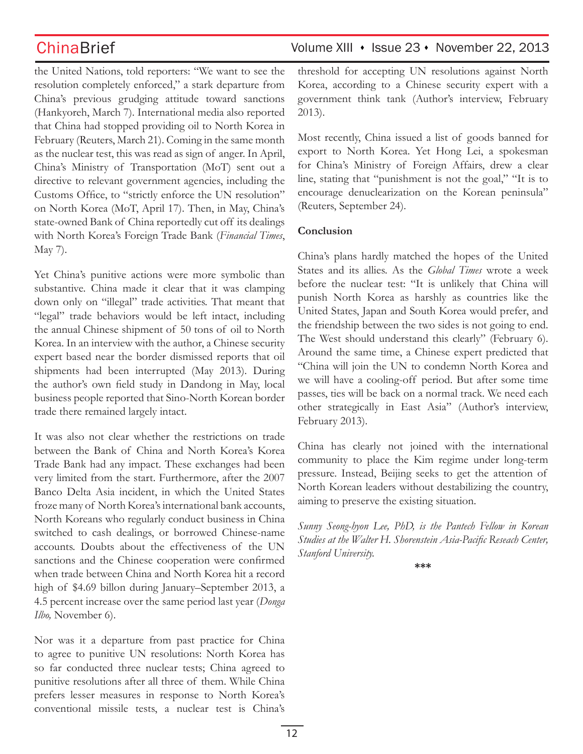the United Nations, told reporters: "We want to see the resolution completely enforced," a stark departure from China's previous grudging attitude toward sanctions (Hankyoreh, March 7). International media also reported that China had stopped providing oil to North Korea in February (Reuters, March 21). Coming in the same month as the nuclear test, this was read as sign of anger. In April, China's Ministry of Transportation (MoT) sent out a directive to relevant government agencies, including the Customs Office, to "strictly enforce the UN resolution" on North Korea (MoT, April 17). Then, in May, China's state-owned Bank of China reportedly cut off its dealings with North Korea's Foreign Trade Bank (*Financial Times*, May 7).

Yet China's punitive actions were more symbolic than substantive. China made it clear that it was clamping down only on "illegal" trade activities. That meant that "legal" trade behaviors would be left intact, including the annual Chinese shipment of 50 tons of oil to North Korea. In an interview with the author, a Chinese security expert based near the border dismissed reports that oil shipments had been interrupted (May 2013). During the author's own field study in Dandong in May, local business people reported that Sino-North Korean border trade there remained largely intact.

It was also not clear whether the restrictions on trade between the Bank of China and North Korea's Korea Trade Bank had any impact. These exchanges had been very limited from the start. Furthermore, after the 2007 Banco Delta Asia incident, in which the United States froze many of North Korea's international bank accounts, North Koreans who regularly conduct business in China switched to cash dealings, or borrowed Chinese-name accounts. Doubts about the effectiveness of the UN sanctions and the Chinese cooperation were confirmed when trade between China and North Korea hit a record high of \$4.69 billon during January–September 2013, a 4.5 percent increase over the same period last year (*Donga Ilbo,* November 6).

Nor was it a departure from past practice for China to agree to punitive UN resolutions: North Korea has so far conducted three nuclear tests; China agreed to punitive resolutions after all three of them. While China prefers lesser measures in response to North Korea's conventional missile tests, a nuclear test is China's

## ChinaBrief Volume XIII • Issue 23 • November 22, 2013

threshold for accepting UN resolutions against North Korea, according to a Chinese security expert with a government think tank (Author's interview, February 2013).

Most recently, China issued a list of goods banned for export to North Korea. Yet Hong Lei, a spokesman for China's Ministry of Foreign Affairs, drew a clear line, stating that "punishment is not the goal," "It is to encourage denuclearization on the Korean peninsula" (Reuters, September 24).

## **Conclusion**

China's plans hardly matched the hopes of the United States and its allies. As the *Global Times* wrote a week before the nuclear test: "It is unlikely that China will punish North Korea as harshly as countries like the United States, Japan and South Korea would prefer, and the friendship between the two sides is not going to end. The West should understand this clearly" (February 6). Around the same time, a Chinese expert predicted that "China will join the UN to condemn North Korea and we will have a cooling-off period. But after some time passes, ties will be back on a normal track. We need each other strategically in East Asia" (Author's interview, February 2013).

China has clearly not joined with the international community to place the Kim regime under long-term pressure. Instead, Beijing seeks to get the attention of North Korean leaders without destabilizing the country, aiming to preserve the existing situation.

*Sunny Seong-hyon Lee, PhD, is the Pantech Fellow in Korean Studies at the Walter H. Shorenstein Asia-Pacific Reseach Center, Stanford University.* 

**\*\*\***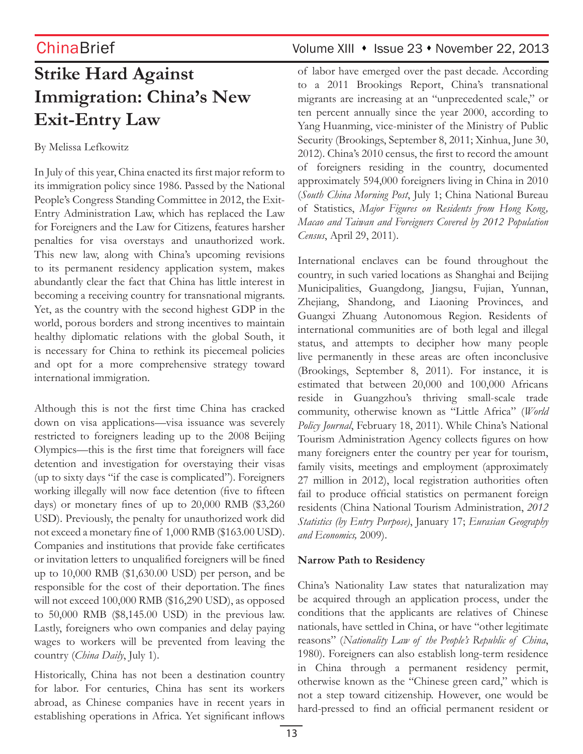# **Strike Hard Against Immigration: China's New Exit-Entry Law**

By Melissa Lefkowitz

In July of this year, China enacted its first major reform to its immigration policy since 1986. Passed by the National People's Congress Standing Committee in 2012, the Exit-Entry Administration Law, which has replaced the Law for Foreigners and the Law for Citizens, features harsher penalties for visa overstays and unauthorized work. This new law, along with China's upcoming revisions to its permanent residency application system, makes abundantly clear the fact that China has little interest in becoming a receiving country for transnational migrants. Yet, as the country with the second highest GDP in the world, porous borders and strong incentives to maintain healthy diplomatic relations with the global South, it is necessary for China to rethink its piecemeal policies and opt for a more comprehensive strategy toward international immigration.

Although this is not the first time China has cracked down on visa applications—visa issuance was severely restricted to foreigners leading up to the 2008 Beijing Olympics—this is the first time that foreigners will face detention and investigation for overstaying their visas (up to sixty days "if the case is complicated"). Foreigners working illegally will now face detention (five to fifteen days) or monetary fines of up to 20,000 RMB (\$3,260 USD). Previously, the penalty for unauthorized work did not exceed a monetary fine of 1,000 RMB (\$163.00 USD). Companies and institutions that provide fake certificates or invitation letters to unqualified foreigners will be fined up to 10,000 RMB (\$1,630.00 USD) per person, and be responsible for the cost of their deportation. The fines will not exceed 100,000 RMB (\$16,290 USD), as opposed to 50,000 RMB (\$8,145.00 USD) in the previous law. Lastly, foreigners who own companies and delay paying wages to workers will be prevented from leaving the country (*China Daily*, July 1).

Historically, China has not been a destination country for labor. For centuries, China has sent its workers abroad, as Chinese companies have in recent years in establishing operations in Africa. Yet significant inflows

## ChinaBrief Volume XIII • Issue 23 • November 22, 2013

of labor have emerged over the past decade. According to a 2011 Brookings Report, China's transnational migrants are increasing at an "unprecedented scale," or ten percent annually since the year 2000, according to Yang Huanming, vice-minister of the Ministry of Public Security (Brookings, September 8, 2011; Xinhua, June 30, 2012). China's 2010 census, the first to record the amount of foreigners residing in the country, documented approximately 594,000 foreigners living in China in 2010 (*South China Morning Post*, July 1; China National Bureau of Statistics, *Major Figures on Residents from Hong Kong, Macao and Taiwan and Foreigners Covered by 2012 Population Census*, April 29, 2011).

International enclaves can be found throughout the country, in such varied locations as Shanghai and Beijing Municipalities, Guangdong, Jiangsu, Fujian, Yunnan, Zhejiang, Shandong, and Liaoning Provinces, and Guangxi Zhuang Autonomous Region. Residents of international communities are of both legal and illegal status, and attempts to decipher how many people live permanently in these areas are often inconclusive (Brookings, September 8, 2011). For instance, it is estimated that between 20,000 and 100,000 Africans reside in Guangzhou's thriving small-scale trade community, otherwise known as "Little Africa" (*World Policy Journal*, February 18, 2011). While China's National Tourism Administration Agency collects figures on how many foreigners enter the country per year for tourism, family visits, meetings and employment (approximately 27 million in 2012), local registration authorities often fail to produce official statistics on permanent foreign residents (China National Tourism Administration, *2012 Statistics (by Entry Purpose)*, January 17; *Eurasian Geography and Economics,* 2009).

### **Narrow Path to Residency**

China's Nationality Law states that naturalization may be acquired through an application process, under the conditions that the applicants are relatives of Chinese nationals, have settled in China, or have "other legitimate reasons" (*Nationality Law of the People's Republic of China*, 1980). Foreigners can also establish long-term residence in China through a permanent residency permit, otherwise known as the "Chinese green card," which is not a step toward citizenship. However, one would be hard-pressed to find an official permanent resident or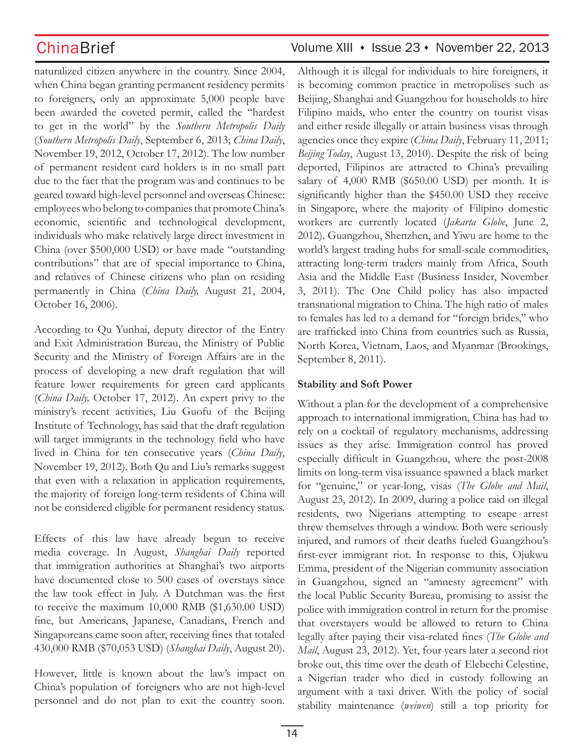naturalized citizen anywhere in the country. Since 2004, when China began granting permanent residency permits to foreigners, only an approximate 5,000 people have been awarded the coveted permit, called the "hardest to get in the world" by the *Southern Metropolis Daily* (*Southern Metropolis Daily*, September 6, 2013; *China Daily*, November 19, 2012, October 17, 2012). The low number of permanent resident card holders is in no small part due to the fact that the program was and continues to be geared toward high-level personnel and overseas Chinese: employees who belong to companies that promote China's economic, scientific and technological development, individuals who make relatively large direct investment in China (over \$500,000 USD) or have made "outstanding contributions" that are of special importance to China, and relatives of Chinese citizens who plan on residing permanently in China (*China Daily,* August 21, 2004, October 16, 2006).

According to Qu Yunhai, deputy director of the Entry and Exit Administration Bureau, the Ministry of Public Security and the Ministry of Foreign Affairs are in the process of developing a new draft regulation that will feature lower requirements for green card applicants (*China Daily,* October 17, 2012). An expert privy to the ministry's recent activities, Liu Guofu of the Beijing Institute of Technology, has said that the draft regulation will target immigrants in the technology field who have lived in China for ten consecutive years (*China Daily*, November 19, 2012). Both Qu and Liu's remarks suggest that even with a relaxation in application requirements, the majority of foreign long-term residents of China will not be considered eligible for permanent residency status.

Effects of this law have already begun to receive media coverage. In August, *Shanghai Daily* reported that immigration authorities at Shanghai's two airports have documented close to 500 cases of overstays since the law took effect in July. A Dutchman was the first to receive the maximum 10,000 RMB (\$1,630.00 USD) fine, but Americans, Japanese, Canadians, French and Singaporeans came soon after, receiving fines that totaled 430,000 RMB (\$70,053 USD) (*Shanghai Daily*, August 20).

However, little is known about the law's impact on China's population of foreigners who are not high-level personnel and do not plan to exit the country soon.

## ChinaBrief Volume XIII • Issue 23 • November 22, 2013

Although it is illegal for individuals to hire foreigners, it is becoming common practice in metropolises such as Beijing, Shanghai and Guangzhou for households to hire Filipino maids, who enter the country on tourist visas and either reside illegally or attain business visas through agencies once they expire (*China Daily*, February 11, 2011; *Beijing Today*, August 13, 2010). Despite the risk of being deported, Filipinos are attracted to China's prevailing salary of 4,000 RMB (\$650.00 USD) per month. It is significantly higher than the \$450.00 USD they receive in Singapore, where the majority of Filipino domestic workers are currently located (*Jakarta Globe*, June 2, 2012). Guangzhou, Shenzhen, and Yiwu are home to the world's largest trading hubs for small-scale commodities, attracting long-term traders mainly from Africa, South Asia and the Middle East (Business Insider, November 3, 2011). The One Child policy has also impacted transnational migration to China. The high ratio of males to females has led to a demand for "foreign brides," who are trafficked into China from countries such as Russia, North Korea, Vietnam, Laos, and Myanmar (Brookings, September 8, 2011).

### **Stability and Soft Power**

Without a plan for the development of a comprehensive approach to international immigration, China has had to rely on a cocktail of regulatory mechanisms, addressing issues as they arise. Immigration control has proved especially difficult in Guangzhou, where the post-2008 limits on long-term visa issuance spawned a black market for "genuine," or year-long, visas (*The Globe and Mail*, August 23, 2012). In 2009, during a police raid on illegal residents, two Nigerians attempting to escape arrest threw themselves through a window. Both were seriously injured, and rumors of their deaths fueled Guangzhou's first-ever immigrant riot. In response to this, Ojukwu Emma, president of the Nigerian community association in Guangzhou, signed an "amnesty agreement" with the local Public Security Bureau, promising to assist the police with immigration control in return for the promise that overstayers would be allowed to return to China legally after paying their visa-related fines (*The Globe and Mail*, August 23, 2012). Yet, four years later a second riot broke out, this time over the death of Elebechi Celestine, a Nigerian trader who died in custody following an argument with a taxi driver. With the policy of social stability maintenance (*weiwen*) still a top priority for